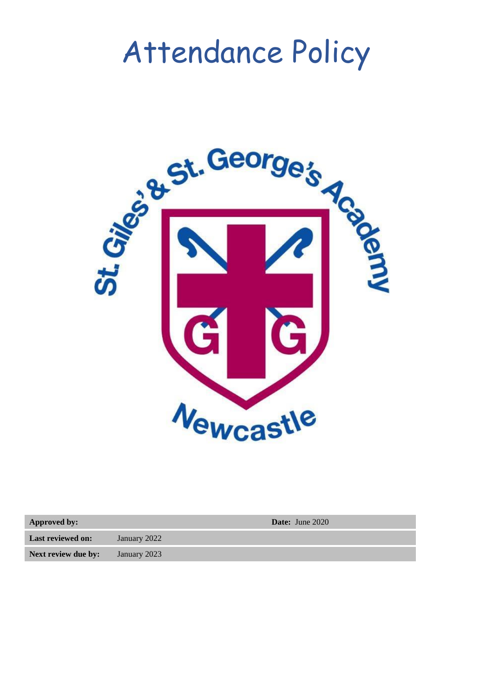# Attendance Policy



**Approved by: Date:** June 2020

**Last reviewed on:** January 2022

**Next review due by:** January 2023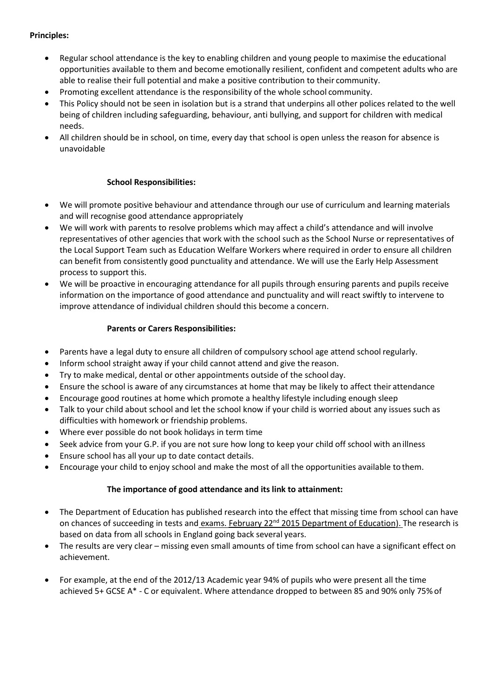#### **Principles:**

- Regular school attendance is the key to enabling children and young people to maximise the educational opportunities available to them and become emotionally resilient, confident and competent adults who are able to realise their full potential and make a positive contribution to their community.
- Promoting excellent attendance is the responsibility of the whole school community.
- This Policy should not be seen in isolation but is a strand that underpins all other polices related to the well being of children including safeguarding, behaviour, anti bullying, and support for children with medical needs.
- All children should be in school, on time, every day that school is open unless the reason for absence is unavoidable

#### **School Responsibilities:**

- We will promote positive behaviour and attendance through our use of curriculum and learning materials and will recognise good attendance appropriately
- We will work with parents to resolve problems which may affect a child's attendance and will involve representatives of other agencies that work with the school such as the School Nurse or representatives of the Local Support Team such as Education Welfare Workers where required in order to ensure all children can benefit from consistently good punctuality and attendance. We will use the Early Help Assessment process to support this.
- We will be proactive in encouraging attendance for all pupils through ensuring parents and pupils receive information on the importance of good attendance and punctuality and will react swiftly to intervene to improve attendance of individual children should this become a concern.

#### **Parents or Carers Responsibilities:**

- Parents have a legal duty to ensure all children of compulsory school age attend school regularly.
- Inform school straight away if your child cannot attend and give the reason.
- Try to make medical, dental or other appointments outside of the school day.
- Ensure the school is aware of any circumstances at home that may be likely to affect their attendance
- Encourage good routines at home which promote a healthy lifestyle including enough sleep
- Talk to your child about school and let the school know if your child is worried about any issues such as difficulties with homework or friendship problems.
- Where ever possible do not book holidays in term time
- Seek advice from your G.P. if you are not sure how long to keep your child off school with anillness
- Ensure school has all your up to date contact details.
- Encourage your child to enjoy school and make the most of all the opportunities available to them.

#### **The importance of good attendance and its link to attainment:**

- The Department of Education has published research into the effect that missing time from school can have on chances of succeeding in tests and exams. February 22<sup>nd</sup> [2015 Department of Education\)](https://www.gov.uk/government/news/short-breaks-damage-young-peoples-futures). The research is based on data from all schools in England going back several years.
- The results are very clear missing even small amounts of time from school can have a significant effect on achievement.
- For example, at the end of the 2012/13 Academic year 94% of pupils who were present all the time achieved 5+ GCSE A\* - C or equivalent. Where attendance dropped to between 85 and 90% only 75% of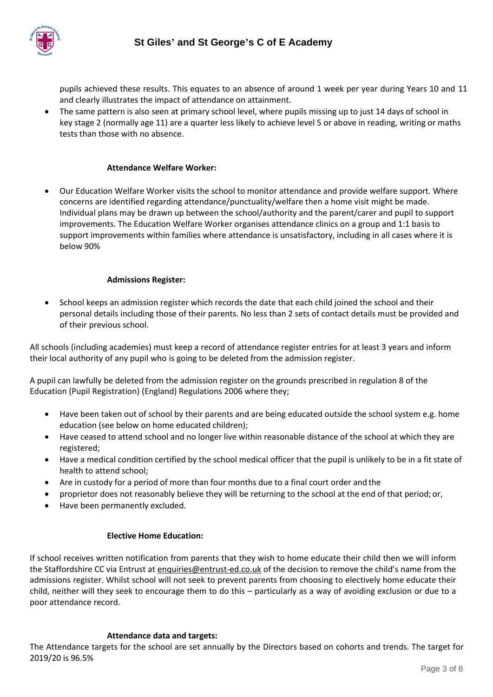

pupils achieved these results. This equates to an absence of around 1 week per year during Years 10 and 11 and clearly illustrates the impact of attendance on attainment.

• The same pattern is also seen at primary school level, where pupils missing up to just 14 days of school in key stage 2 (normally age 11) are a quarter less likely to achieve level 5 or above in reading, writing or maths tests than those with no absence.

#### **Attendance Welfare Worker:**

• Our Education Welfare Worker visits the school to monitor attendance and provide welfare support. Where concerns are identified regarding attendance/punctuality/welfare then a home visit might be made. Individual plans may be drawn up between the school/authority and the parent/carer and pupil to support improvements. The Education Welfare Worker organises attendance clinics on a group and 1:1 basis to support improvements within families where attendance is unsatisfactory, including in all cases where it is below 90%

#### **Admissions Register:**

• School keeps an admission register which records the date that each child joined the school and their personal details including those of their parents. No less than 2 sets of contact details must be provided and of their previous school.

All schools (including academies) must keep a record of attendance register entries for at least 3 years and inform their local authority of any pupil who is going to be deleted from the admission register.

A pupil can lawfully be deleted from the admission register on the grounds prescribed in regulation 8 of the Education (Pupil Registration) (England) Regulations 2006 where they;

- Have been taken out of school by their parents and are being educated outside the school system e.g. home education (see below on home educated children);
- Have ceased to attend school and no longer live within reasonable distance of the school at which they are registered;
- Have a medical condition certified by the school medical officer that the pupil is unlikely to be in a fit state of health to attend school;
- Are in custody for a period of more than four months due to a final court order and the
- proprietor does not reasonably believe they will be returning to the school at the end of that period; or,
- Have been permanently excluded.

#### **Elective Home Education:**

If school receives written notification from parents that they wish to home educate their child then we will inform the Staffordshire CC via Entrust at [enquiries@entrust-ed.co.uk](mailto:enquiries@entrust-ed.co.uk) of the decision to remove the child's name from the admissions register. Whilst school will not seek to prevent parents from choosing to electively home educate their child, neither will they seek to encourage them to do this – particularly as a way of avoiding exclusion or due to a poor attendance record.

#### **Attendance data and targets:**

The Attendance targets for the school are set annually by the Directors based on cohorts and trends. The target for 2019/20 is 96.5%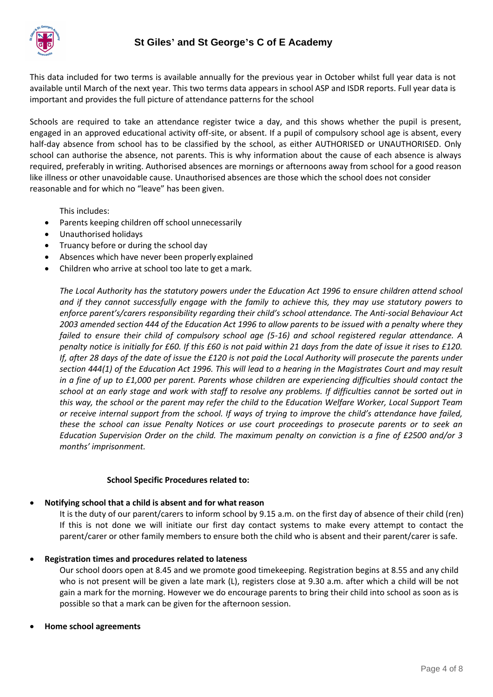

This data included for two terms is available annually for the previous year in October whilst full year data is not available until March of the next year. This two terms data appears in school ASP and ISDR reports. Full year data is important and provides the full picture of attendance patterns for the school

Schools are required to take an attendance register twice a day, and this shows whether the pupil is present, engaged in an approved educational activity off-site, or absent. If a pupil of compulsory school age is absent, every half-day absence from school has to be classified by the school, as either AUTHORISED or UNAUTHORISED. Only school can authorise the absence, not parents. This is why information about the cause of each absence is always required, preferably in writing. Authorised absences are mornings or afternoons away from school for a good reason like illness or other unavoidable cause. Unauthorised absences are those which the school does not consider reasonable and for which no "leave" has been given.

This includes:

- Parents keeping children off school unnecessarily
- Unauthorised holidays
- Truancy before or during the school day
- Absences which have never been properly explained
- Children who arrive at school too late to get a mark.

*The Local Authority has the statutory powers under the Education Act 1996 to ensure children attend school and if they cannot successfully engage with the family to achieve this, they may use statutory powers to enforce parent's/carers responsibility regarding their child's school attendance. The Anti-social Behaviour Act 2003 amended section 444 of the Education Act 1996 to allow parents to be issued with a penalty where they failed to ensure their child of compulsory school age (5-16) and school registered regular attendance. A penalty notice is initially for £60. If this £60 is not paid within 21 days from the date of issue it rises to £120. If, after 28 days of the date of issue the £120 is not paid the Local Authority will prosecute the parents under section 444(1) of the Education Act 1996. This will lead to a hearing in the Magistrates Court and may result in a fine of up to £1,000 per parent. Parents whose children are experiencing difficulties should contact the school at an early stage and work with staff to resolve any problems. If difficulties cannot be sorted out in this way, the school or the parent may refer the child to the Education Welfare Worker, Local Support Team or receive internal support from the school. If ways of trying to improve the child's attendance have failed, these the school can issue Penalty Notices or use court proceedings to prosecute parents or to seek an Education Supervision Order on the child. The maximum penalty on conviction is a fine of £2500 and/or 3 months' imprisonment.*

#### **School Specific Procedures related to:**

#### • **Notifying school that a child is absent and for what reason**

It is the duty of our parent/carers to inform school by 9.15 a.m. on the first day of absence of their child (ren) If this is not done we will initiate our first day contact systems to make every attempt to contact the parent/carer or other family members to ensure both the child who is absent and their parent/carer is safe.

#### • **Registration times and procedures related to lateness**

Our school doors open at 8.45 and we promote good timekeeping. Registration begins at 8.55 and any child who is not present will be given a late mark (L), registers close at 9.30 a.m. after which a child will be not gain a mark for the morning. However we do encourage parents to bring their child into school as soon as is possible so that a mark can be given for the afternoon session.

#### • **Home school agreements**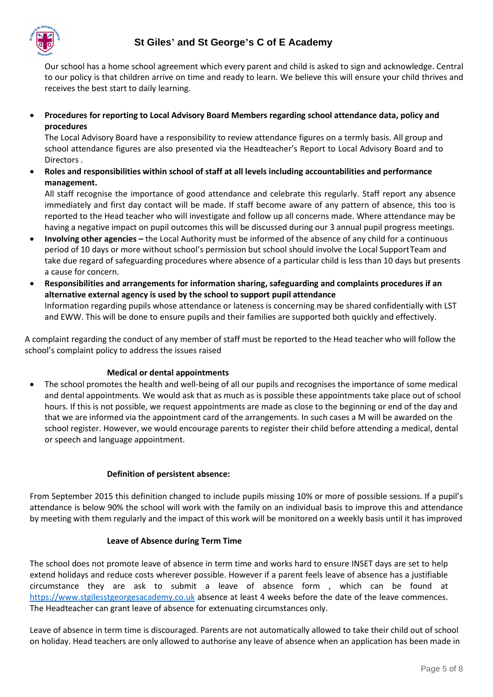

Our school has a home school agreement which every parent and child is asked to sign and acknowledge. Central to our policy is that children arrive on time and ready to learn. We believe this will ensure your child thrives and receives the best start to daily learning.

• **Procedures for reporting to Local Advisory Board Members regarding school attendance data, policy and procedures**

The Local Advisory Board have a responsibility to review attendance figures on a termly basis. All group and school attendance figures are also presented via the Headteacher's Report to Local Advisory Board and to Directors .

• **Roles and responsibilities within school of staff at all levels including accountabilities and performance management.**

All staff recognise the importance of good attendance and celebrate this regularly. Staff report any absence immediately and first day contact will be made. If staff become aware of any pattern of absence, this too is reported to the Head teacher who will investigate and follow up all concerns made. Where attendance may be having a negative impact on pupil outcomes this will be discussed during our 3 annual pupil progress meetings.

- **Involving other agencies –** the Local Authority must be informed of the absence of any child for a continuous period of 10 days or more without school's permission but school should involve the Local SupportTeam and take due regard of safeguarding procedures where absence of a particular child is less than 10 days but presents a cause for concern.
- **Responsibilities and arrangements for information sharing, safeguarding and complaints procedures if an alternative external agency is used by the school to support pupil attendance** Information regarding pupils whose attendance or lateness is concerning may be shared confidentially with LST and EWW. This will be done to ensure pupils and their families are supported both quickly and effectively.

A complaint regarding the conduct of any member of staff must be reported to the Head teacher who will follow the school's complaint policy to address the issues raised

#### **Medical or dental appointments**

• The school promotes the health and well-being of all our pupils and recognises the importance of some medical and dental appointments. We would ask that as much as is possible these appointments take place out of school hours. If this is not possible, we request appointments are made as close to the beginning or end of the day and that we are informed via the appointment card of the arrangements. In such cases a M will be awarded on the school register. However, we would encourage parents to register their child before attending a medical, dental or speech and language appointment.

#### **Definition of persistent absence:**

From September 2015 this definition changed to include pupils missing 10% or more of possible sessions. If a pupil's attendance is below 90% the school will work with the family on an individual basis to improve this and attendance by meeting with them regularly and the impact of this work will be monitored on a weekly basis until it has improved

#### **Leave of Absence during Term Time**

The school does not promote leave of absence in term time and works hard to ensure INSET days are set to help extend holidays and reduce costs wherever possible. However if a parent feels leave of absence has a justifiable circumstance they are ask to submit a leave of absence form , which can be found at [https://www.stgilesstgeorgesacademy.co.uk](https://www.stgilesstgeorgesacademy.co.uk/) absence at least 4 weeks before the date of the leave commences. The Headteacher can grant leave of absence for extenuating circumstances only.

Leave of absence in term time is discouraged. Parents are not automatically allowed to take their child out of school on holiday. Head teachers are only allowed to authorise any leave of absence when an application has been made in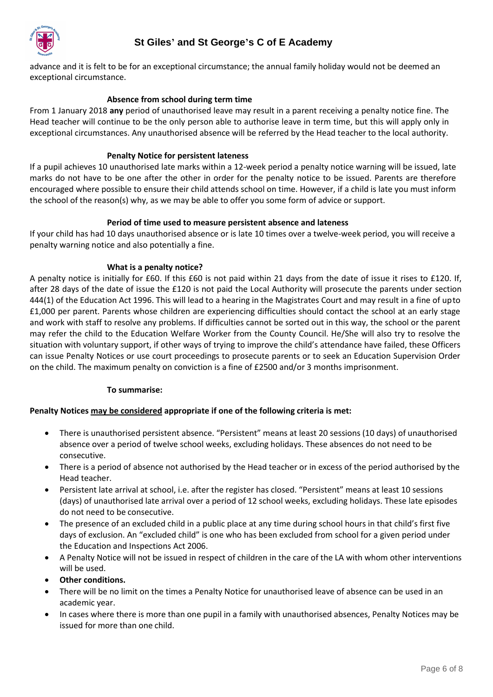

## **St Giles' and St George's C of E Academy**

advance and it is felt to be for an exceptional circumstance; the annual family holiday would not be deemed an exceptional circumstance.

#### **Absence from school during term time**

From 1 January 2018 **any** period of unauthorised leave may result in a parent receiving a penalty notice fine. The Head teacher will continue to be the only person able to authorise leave in term time, but this will apply only in exceptional circumstances. Any unauthorised absence will be referred by the Head teacher to the local authority.

#### **Penalty Notice for persistent lateness**

If a pupil achieves 10 unauthorised late marks within a 12-week period a penalty notice warning will be issued, late marks do not have to be one after the other in order for the penalty notice to be issued. Parents are therefore encouraged where possible to ensure their child attends school on time. However, if a child is late you must inform the school of the reason(s) why, as we may be able to offer you some form of advice or support.

#### **Period of time used to measure persistent absence and lateness**

If your child has had 10 days unauthorised absence or is late 10 times over a twelve-week period, you will receive a penalty warning notice and also potentially a fine.

#### **What is a penalty notice?**

A penalty notice is initially for £60. If this £60 is not paid within 21 days from the date of issue it rises to £120. If, after 28 days of the date of issue the £120 is not paid the Local Authority will prosecute the parents under section 444(1) of the Education Act 1996. This will lead to a hearing in the Magistrates Court and may result in a fine of upto £1,000 per parent. Parents whose children are experiencing difficulties should contact the school at an early stage and work with staff to resolve any problems. If difficulties cannot be sorted out in this way, the school or the parent may refer the child to the Education Welfare Worker from the County Council. He/She will also try to resolve the situation with voluntary support, if other ways of trying to improve the child's attendance have failed, these Officers can issue Penalty Notices or use court proceedings to prosecute parents or to seek an Education Supervision Order on the child. The maximum penalty on conviction is a fine of £2500 and/or 3 months imprisonment.

#### **To summarise:**

#### **Penalty Notices may be considered appropriate if one of the following criteria is met:**

- There is unauthorised persistent absence. "Persistent" means at least 20 sessions (10 days) of unauthorised absence over a period of twelve school weeks, excluding holidays. These absences do not need to be consecutive.
- There is a period of absence not authorised by the Head teacher or in excess of the period authorised by the Head teacher.
- Persistent late arrival at school, i.e. after the register has closed. "Persistent" means at least 10 sessions (days) of unauthorised late arrival over a period of 12 school weeks, excluding holidays. These late episodes do not need to be consecutive.
- The presence of an excluded child in a public place at any time during school hours in that child's first five days of exclusion. An "excluded child" is one who has been excluded from school for a given period under the Education and Inspections Act 2006.
- A Penalty Notice will not be issued in respect of children in the care of the LA with whom other interventions will be used.
- **Other conditions.**
- There will be no limit on the times a Penalty Notice for unauthorised leave of absence can be used in an academic year.
- In cases where there is more than one pupil in a family with unauthorised absences, Penalty Notices may be issued for more than one child.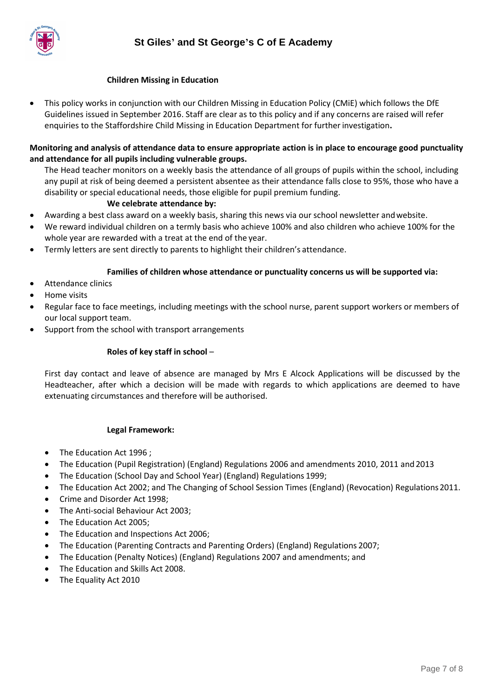

#### **Children Missing in Education**

• This policy works in conjunction with our Children Missing in Education Policy (CMiE) which follows the DfE Guidelines issued in September 2016. Staff are clear as to this policy and if any concerns are raised will refer enquiries to the Staffordshire Child Missing in Education Department for furtherinvestigation**.**

#### **Monitoring and analysis of attendance data to ensure appropriate action is in place to encourage good punctuality and attendance for all pupils including vulnerable groups.**

The Head teacher monitors on a weekly basis the attendance of all groups of pupils within the school, including any pupil at risk of being deemed a persistent absentee as their attendance falls close to 95%, those who have a disability or special educational needs, those eligible for pupil premium funding.

#### **We celebrate attendance by:**

- Awarding a best class award on a weekly basis, sharing this news via our school newsletter andwebsite.
- We reward individual children on a termly basis who achieve 100% and also children who achieve 100% for the whole year are rewarded with a treat at the end of the year.
- Termly letters are sent directly to parents to highlight their children's attendance.

#### **Families of children whose attendance or punctuality concerns us will be supported via:**

- Attendance clinics
- Home visits
- Regular face to face meetings, including meetings with the school nurse, parent support workers or members of our local support team.
- Support from the school with transport arrangements

#### **Roles of key staff in school** –

First day contact and leave of absence are managed by Mrs E Alcock Applications will be discussed by the Headteacher, after which a decision will be made with regards to which applications are deemed to have extenuating circumstances and therefore will be authorised.

#### **Legal Framework:**

- The Education Act 1996;
- The Education (Pupil Registration) (England) Regulations 2006 and amendments 2010, 2011 and2013
- The Education (School Day and School Year) (England) Regulations 1999;
- The Education Act 2002; and The Changing of School Session Times (England) (Revocation) Regulations2011.
- Crime and Disorder Act 1998;
- The Anti-social Behaviour Act 2003;
- The Education Act 2005;
- The Education and Inspections Act 2006;
- The Education (Parenting Contracts and Parenting Orders) (England) Regulations 2007;
- The Education (Penalty Notices) (England) Regulations 2007 and amendments; and
- The Education and Skills Act 2008.
- The Equality Act 2010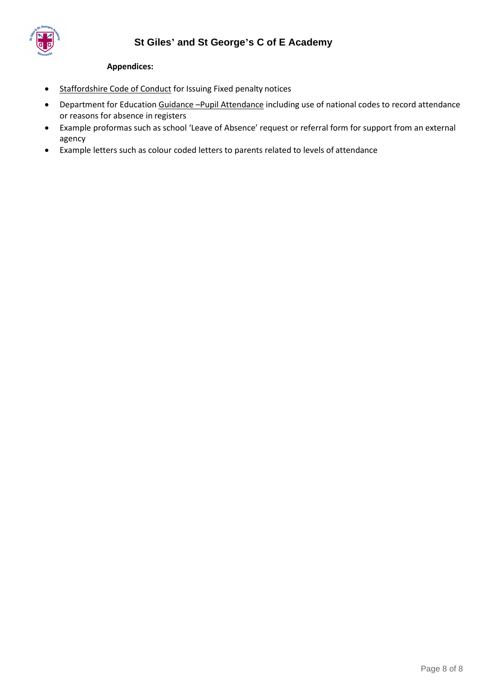

#### **Appendices:**

- [Staffordshire Code of Conduct](http://www.staffordshire.gov.uk/education/welfareservice/Attendance/home.aspx) for Issuing Fixed penalty notices
- Department for Education Guidance -[Pupil Attendance](https://www.gov.uk/government/uploads/system/uploads/attachment_data/file/361008/Advice_on_school_attendance_sept_2014.pdf) including use of national codes to record attendance or reasons for absence in registers
- Example proformas such as school 'Leave of Absence' request or referral form for support from an external agency
- Example letters such as colour coded letters to parents related to levels of attendance